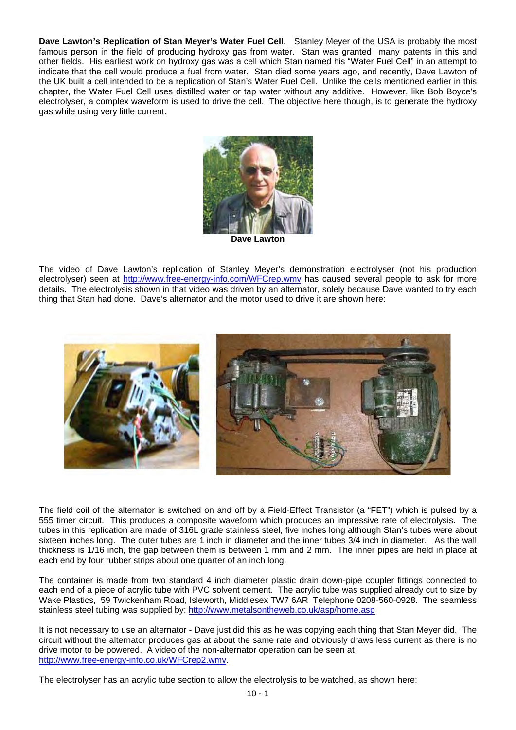**Dave Lawton's Replication of Stan Meyer's Water Fuel Cell**. Stanley Meyer of the USA is probably the most famous person in the field of producing hydroxy gas from water. Stan was granted many patents in this and other fields. His earliest work on hydroxy gas was a cell which Stan named his "Water Fuel Cell" in an attempt to indicate that the cell would produce a fuel from water. Stan died some years ago, and recently, Dave Lawton of the UK built a cell intended to be a replication of Stan's Water Fuel Cell. Unlike the cells mentioned earlier in this chapter, the Water Fuel Cell uses distilled water or tap water without any additive. However, like Bob Boyce's electrolyser, a complex waveform is used to drive the cell. The objective here though, is to generate the hydroxy gas while using very little current.



**Dave Lawton**

The video of Dave Lawton's replication of Stanley Meyer's demonstration electrolyser (not his production electrolyser) seen at http://www.free-energy-info.com/WFCrep.wmv has caused several people to ask for more details. The electrolysis shown in that video was driven by an alternator, solely because Dave wanted to try each thing that Stan had done. Dave's alternator and the motor used to drive it are shown here:



The field coil of the alternator is switched on and off by a Field-Effect Transistor (a "FET") which is pulsed by a 555 timer circuit. This produces a composite waveform which produces an impressive rate of electrolysis. The tubes in this replication are made of 316L grade stainless steel, five inches long although Stan's tubes were about sixteen inches long. The outer tubes are 1 inch in diameter and the inner tubes 3/4 inch in diameter. As the wall thickness is 1/16 inch, the gap between them is between 1 mm and 2 mm. The inner pipes are held in place at each end by four rubber strips about one quarter of an inch long.

The container is made from two standard 4 inch diameter plastic drain down-pipe coupler fittings connected to each end of a piece of acrylic tube with PVC solvent cement. The acrylic tube was supplied already cut to size by Wake Plastics, 59 Twickenham Road, Isleworth, Middlesex TW7 6AR Telephone 0208-560-0928. The seamless stainless steel tubing was supplied by: http://www.metalsontheweb.co.uk/asp/home.asp

It is not necessary to use an alternator - Dave just did this as he was copying each thing that Stan Meyer did. The circuit without the alternator produces gas at about the same rate and obviously draws less current as there is no drive motor to be powered. A video of the non-alternator operation can be seen at http://www.free-energy-info.co.uk/WFCrep2.wmv.

The electrolyser has an acrylic tube section to allow the electrolysis to be watched, as shown here: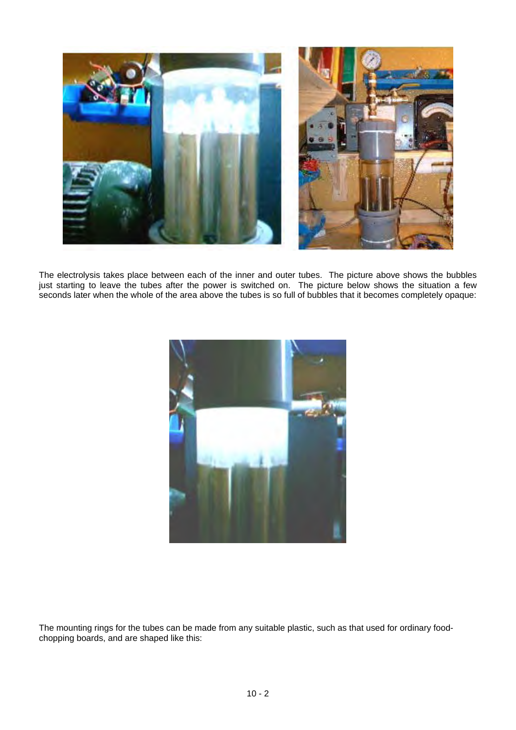

The electrolysis takes place between each of the inner and outer tubes. The picture above shows the bubbles just starting to leave the tubes after the power is switched on. The picture below shows the situation a few seconds later when the whole of the area above the tubes is so full of bubbles that it becomes completely opaque:



The mounting rings for the tubes can be made from any suitable plastic, such as that used for ordinary foodchopping boards, and are shaped like this: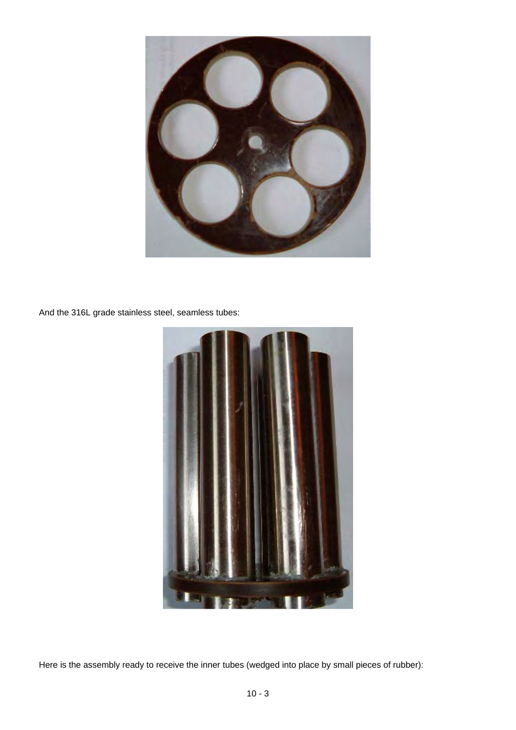

And the 316L grade stainless steel, seamless tubes:



Here is the assembly ready to receive the inner tubes (wedged into place by small pieces of rubber):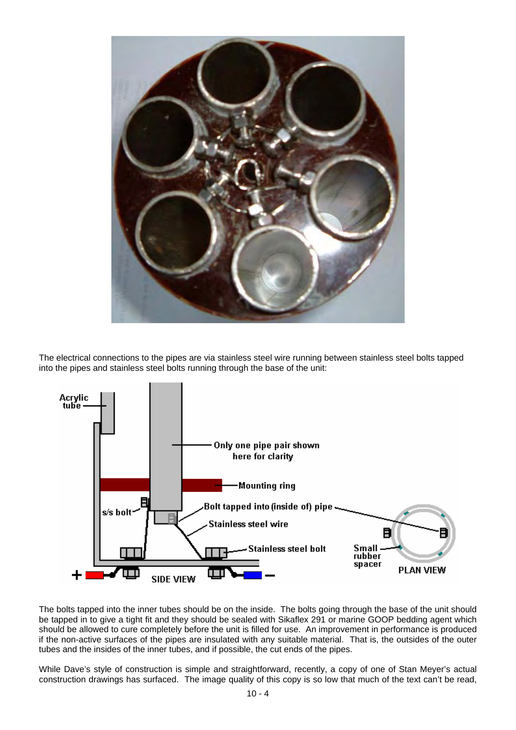

The electrical connections to the pipes are via stainless steel wire running between stainless steel bolts tapped into the pipes and stainless steel bolts running through the base of the unit:



The bolts tapped into the inner tubes should be on the inside. The bolts going through the base of the unit should be tapped in to give a tight fit and they should be sealed with Sikaflex 291 or marine GOOP bedding agent which should be allowed to cure completely before the unit is filled for use. An improvement in performance is produced if the non-active surfaces of the pipes are insulated with any suitable material. That is, the outsides of the outer tubes and the insides of the inner tubes, and if possible, the cut ends of the pipes.

While Dave's style of construction is simple and straightforward, recently, a copy of one of Stan Meyer's actual construction drawings has surfaced. The image quality of this copy is so low that much of the text can't be read,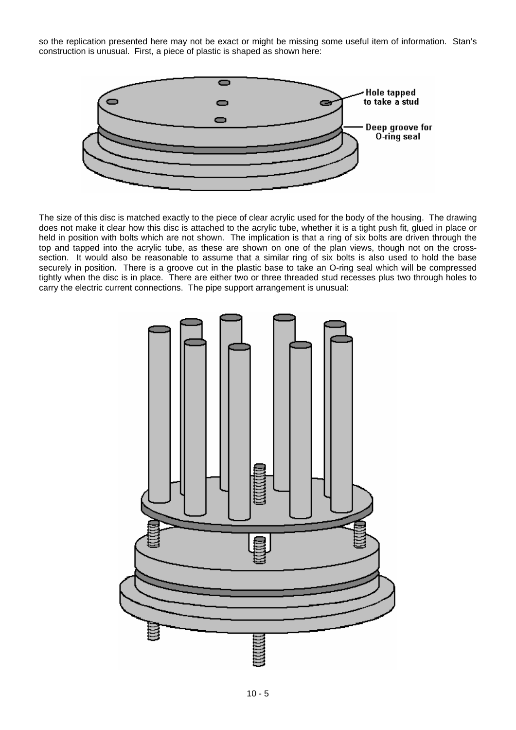so the replication presented here may not be exact or might be missing some useful item of information. Stan's construction is unusual. First, a piece of plastic is shaped as shown here:



The size of this disc is matched exactly to the piece of clear acrylic used for the body of the housing. The drawing does not make it clear how this disc is attached to the acrylic tube, whether it is a tight push fit, glued in place or held in position with bolts which are not shown. The implication is that a ring of six bolts are driven through the top and tapped into the acrylic tube, as these are shown on one of the plan views, though not on the crosssection. It would also be reasonable to assume that a similar ring of six bolts is also used to hold the base securely in position. There is a groove cut in the plastic base to take an O-ring seal which will be compressed tightly when the disc is in place. There are either two or three threaded stud recesses plus two through holes to carry the electric current connections. The pipe support arrangement is unusual:

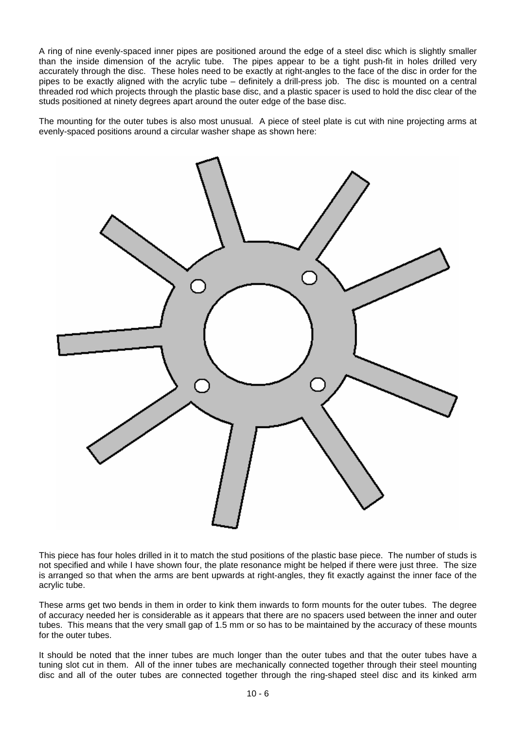A ring of nine evenly-spaced inner pipes are positioned around the edge of a steel disc which is slightly smaller than the inside dimension of the acrylic tube. The pipes appear to be a tight push-fit in holes drilled very accurately through the disc. These holes need to be exactly at right-angles to the face of the disc in order for the pipes to be exactly aligned with the acrylic tube – definitely a drill-press job. The disc is mounted on a central threaded rod which projects through the plastic base disc, and a plastic spacer is used to hold the disc clear of the studs positioned at ninety degrees apart around the outer edge of the base disc.

The mounting for the outer tubes is also most unusual. A piece of steel plate is cut with nine projecting arms at evenly-spaced positions around a circular washer shape as shown here:



This piece has four holes drilled in it to match the stud positions of the plastic base piece. The number of studs is not specified and while I have shown four, the plate resonance might be helped if there were just three. The size is arranged so that when the arms are bent upwards at right-angles, they fit exactly against the inner face of the acrylic tube.

These arms get two bends in them in order to kink them inwards to form mounts for the outer tubes. The degree of accuracy needed her is considerable as it appears that there are no spacers used between the inner and outer tubes. This means that the very small gap of 1.5 mm or so has to be maintained by the accuracy of these mounts for the outer tubes.

It should be noted that the inner tubes are much longer than the outer tubes and that the outer tubes have a tuning slot cut in them. All of the inner tubes are mechanically connected together through their steel mounting disc and all of the outer tubes are connected together through the ring-shaped steel disc and its kinked arm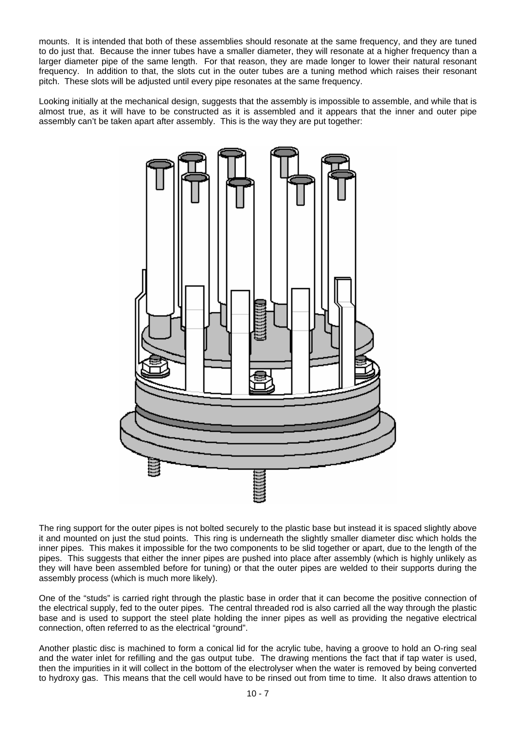mounts. It is intended that both of these assemblies should resonate at the same frequency, and they are tuned to do just that. Because the inner tubes have a smaller diameter, they will resonate at a higher frequency than a larger diameter pipe of the same length. For that reason, they are made longer to lower their natural resonant frequency. In addition to that, the slots cut in the outer tubes are a tuning method which raises their resonant pitch. These slots will be adjusted until every pipe resonates at the same frequency.

Looking initially at the mechanical design, suggests that the assembly is impossible to assemble, and while that is almost true, as it will have to be constructed as it is assembled and it appears that the inner and outer pipe assembly can't be taken apart after assembly. This is the way they are put together:



The ring support for the outer pipes is not bolted securely to the plastic base but instead it is spaced slightly above it and mounted on just the stud points. This ring is underneath the slightly smaller diameter disc which holds the inner pipes. This makes it impossible for the two components to be slid together or apart, due to the length of the pipes. This suggests that either the inner pipes are pushed into place after assembly (which is highly unlikely as they will have been assembled before for tuning) or that the outer pipes are welded to their supports during the assembly process (which is much more likely).

One of the "studs" is carried right through the plastic base in order that it can become the positive connection of the electrical supply, fed to the outer pipes. The central threaded rod is also carried all the way through the plastic base and is used to support the steel plate holding the inner pipes as well as providing the negative electrical connection, often referred to as the electrical "ground".

Another plastic disc is machined to form a conical lid for the acrylic tube, having a groove to hold an O-ring seal and the water inlet for refilling and the gas output tube. The drawing mentions the fact that if tap water is used, then the impurities in it will collect in the bottom of the electrolyser when the water is removed by being converted to hydroxy gas. This means that the cell would have to be rinsed out from time to time. It also draws attention to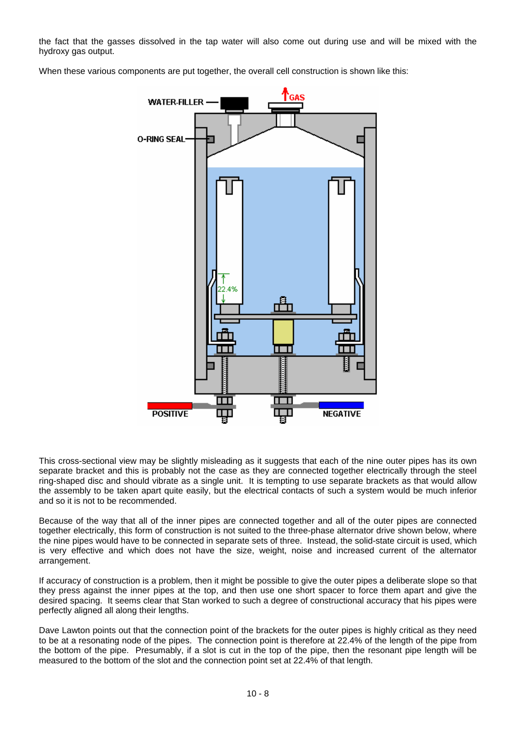the fact that the gasses dissolved in the tap water will also come out during use and will be mixed with the hydroxy gas output.

When these various components are put together, the overall cell construction is shown like this:



This cross-sectional view may be slightly misleading as it suggests that each of the nine outer pipes has its own separate bracket and this is probably not the case as they are connected together electrically through the steel ring-shaped disc and should vibrate as a single unit. It is tempting to use separate brackets as that would allow the assembly to be taken apart quite easily, but the electrical contacts of such a system would be much inferior and so it is not to be recommended.

Because of the way that all of the inner pipes are connected together and all of the outer pipes are connected together electrically, this form of construction is not suited to the three-phase alternator drive shown below, where the nine pipes would have to be connected in separate sets of three. Instead, the solid-state circuit is used, which is very effective and which does not have the size, weight, noise and increased current of the alternator arrangement.

If accuracy of construction is a problem, then it might be possible to give the outer pipes a deliberate slope so that they press against the inner pipes at the top, and then use one short spacer to force them apart and give the desired spacing. It seems clear that Stan worked to such a degree of constructional accuracy that his pipes were perfectly aligned all along their lengths.

Dave Lawton points out that the connection point of the brackets for the outer pipes is highly critical as they need to be at a resonating node of the pipes. The connection point is therefore at 22.4% of the length of the pipe from the bottom of the pipe. Presumably, if a slot is cut in the top of the pipe, then the resonant pipe length will be measured to the bottom of the slot and the connection point set at 22.4% of that length.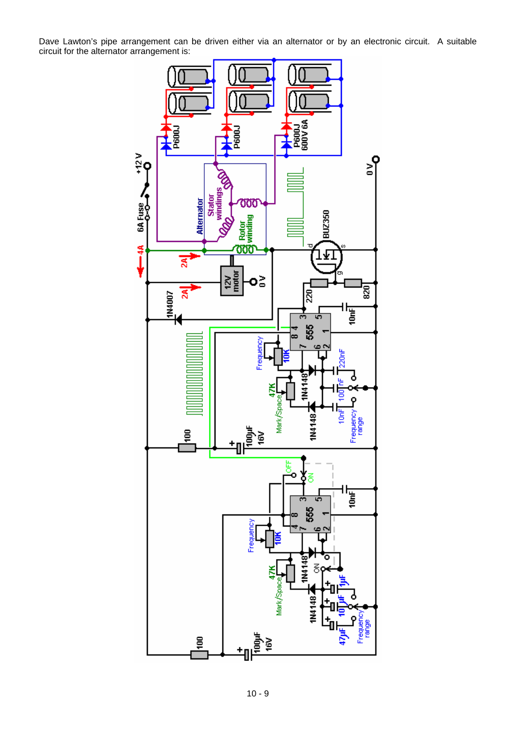Dave Lawton's pipe arrangement can be driven either via an alternator or by an electronic circuit. A suitable circuit for the alternator arrangement is:

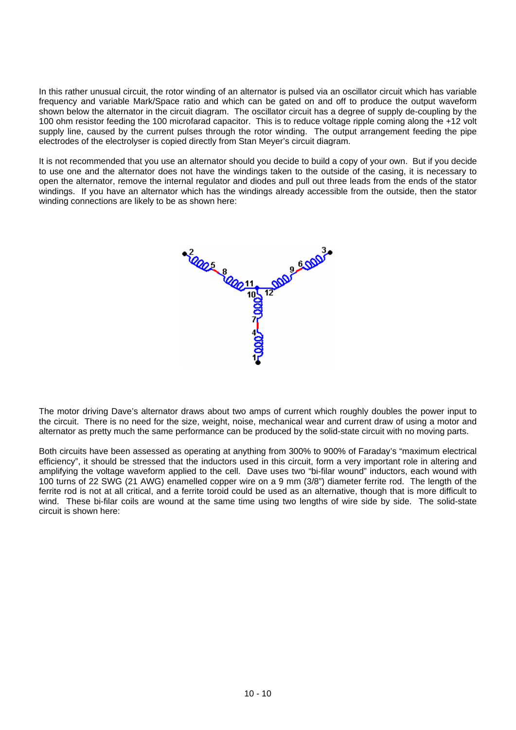In this rather unusual circuit, the rotor winding of an alternator is pulsed via an oscillator circuit which has variable frequency and variable Mark/Space ratio and which can be gated on and off to produce the output waveform shown below the alternator in the circuit diagram. The oscillator circuit has a degree of supply de-coupling by the 100 ohm resistor feeding the 100 microfarad capacitor. This is to reduce voltage ripple coming along the +12 volt supply line, caused by the current pulses through the rotor winding. The output arrangement feeding the pipe electrodes of the electrolyser is copied directly from Stan Meyer's circuit diagram.

It is not recommended that you use an alternator should you decide to build a copy of your own. But if you decide to use one and the alternator does not have the windings taken to the outside of the casing, it is necessary to open the alternator, remove the internal regulator and diodes and pull out three leads from the ends of the stator windings. If you have an alternator which has the windings already accessible from the outside, then the stator winding connections are likely to be as shown here:



The motor driving Dave's alternator draws about two amps of current which roughly doubles the power input to the circuit. There is no need for the size, weight, noise, mechanical wear and current draw of using a motor and alternator as pretty much the same performance can be produced by the solid-state circuit with no moving parts.

Both circuits have been assessed as operating at anything from 300% to 900% of Faraday's "maximum electrical efficiency", it should be stressed that the inductors used in this circuit, form a very important role in altering and amplifying the voltage waveform applied to the cell. Dave uses two "bi-filar wound" inductors, each wound with 100 turns of 22 SWG (21 AWG) enamelled copper wire on a 9 mm (3/8") diameter ferrite rod. The length of the ferrite rod is not at all critical, and a ferrite toroid could be used as an alternative, though that is more difficult to wind. These bi-filar coils are wound at the same time using two lengths of wire side by side. The solid-state circuit is shown here: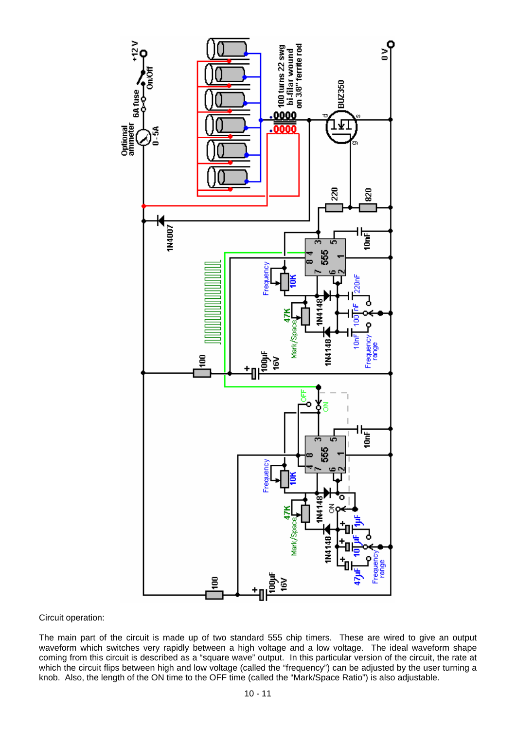

Circuit operation:

The main part of the circuit is made up of two standard 555 chip timers. These are wired to give an output waveform which switches very rapidly between a high voltage and a low voltage. The ideal waveform shape coming from this circuit is described as a "square wave" output. In this particular version of the circuit, the rate at which the circuit flips between high and low voltage (called the "frequency") can be adjusted by the user turning a knob. Also, the length of the ON time to the OFF time (called the "Mark/Space Ratio") is also adjustable.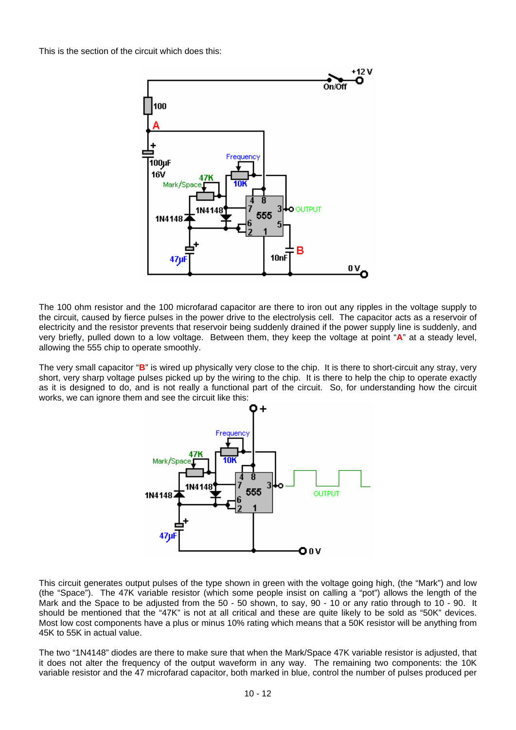This is the section of the circuit which does this:



The 100 ohm resistor and the 100 microfarad capacitor are there to iron out any ripples in the voltage supply to the circuit, caused by fierce pulses in the power drive to the electrolysis cell. The capacitor acts as a reservoir of electricity and the resistor prevents that reservoir being suddenly drained if the power supply line is suddenly, and very briefly, pulled down to a low voltage. Between them, they keep the voltage at point "**A**" at a steady level, allowing the 555 chip to operate smoothly.

The very small capacitor "**B**" is wired up physically very close to the chip. It is there to short-circuit any stray, very short, very sharp voltage pulses picked up by the wiring to the chip. It is there to help the chip to operate exactly as it is designed to do, and is not really a functional part of the circuit. So, for understanding how the circuit works, we can ignore them and see the circuit like this:



This circuit generates output pulses of the type shown in green with the voltage going high, (the "Mark") and low (the "Space"). The 47K variable resistor (which some people insist on calling a "pot") allows the length of the Mark and the Space to be adjusted from the 50 - 50 shown, to say, 90 - 10 or any ratio through to 10 - 90. It should be mentioned that the "47K" is not at all critical and these are quite likely to be sold as "50K" devices. Most low cost components have a plus or minus 10% rating which means that a 50K resistor will be anything from 45K to 55K in actual value.

The two "1N4148" diodes are there to make sure that when the Mark/Space 47K variable resistor is adjusted, that it does not alter the frequency of the output waveform in any way. The remaining two components: the 10K variable resistor and the 47 microfarad capacitor, both marked in blue, control the number of pulses produced per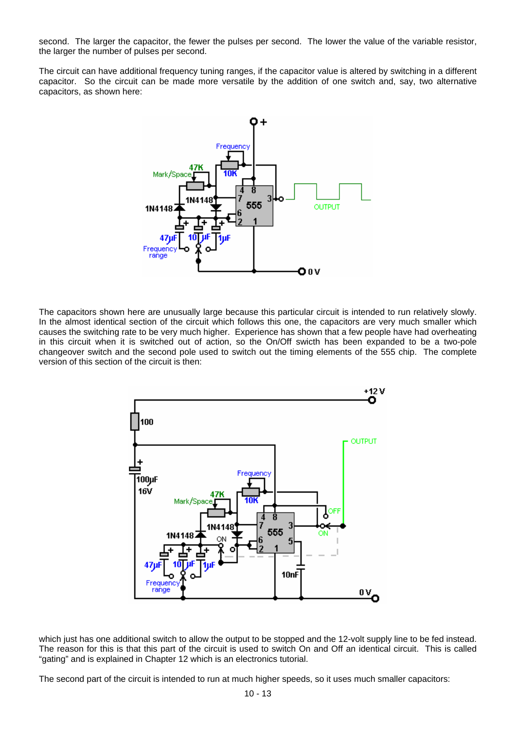second. The larger the capacitor, the fewer the pulses per second. The lower the value of the variable resistor, the larger the number of pulses per second.

The circuit can have additional frequency tuning ranges, if the capacitor value is altered by switching in a different capacitor. So the circuit can be made more versatile by the addition of one switch and, say, two alternative capacitors, as shown here:



The capacitors shown here are unusually large because this particular circuit is intended to run relatively slowly. In the almost identical section of the circuit which follows this one, the capacitors are very much smaller which causes the switching rate to be very much higher. Experience has shown that a few people have had overheating in this circuit when it is switched out of action, so the On/Off swicth has been expanded to be a two-pole changeover switch and the second pole used to switch out the timing elements of the 555 chip. The complete version of this section of the circuit is then:



which just has one additional switch to allow the output to be stopped and the 12-volt supply line to be fed instead. The reason for this is that this part of the circuit is used to switch On and Off an identical circuit. This is called "gating" and is explained in Chapter 12 which is an electronics tutorial.

The second part of the circuit is intended to run at much higher speeds, so it uses much smaller capacitors: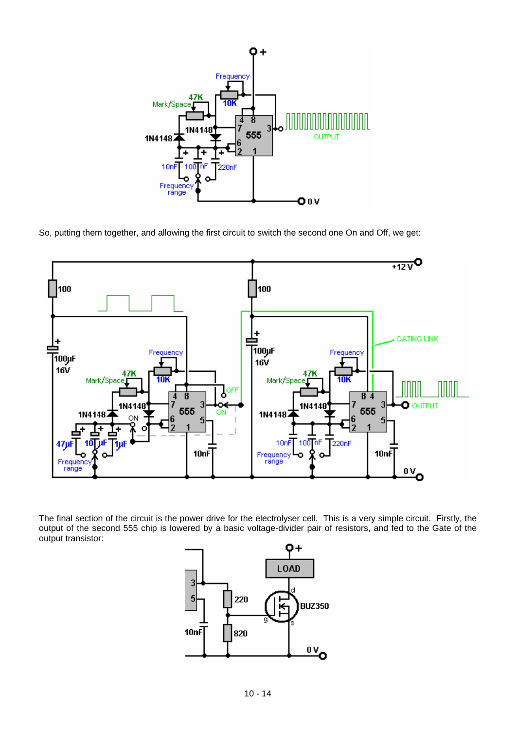

So, putting them together, and allowing the first circuit to switch the second one On and Off, we get:



The final section of the circuit is the power drive for the electrolyser cell. This is a very simple circuit. Firstly, the output of the second 555 chip is lowered by a basic voltage-divider pair of resistors, and fed to the Gate of the output transistor:

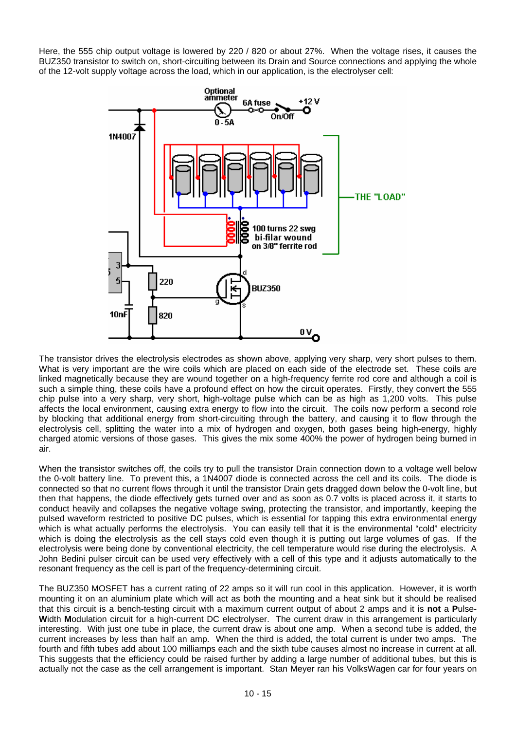Here, the 555 chip output voltage is lowered by 220 / 820 or about 27%. When the voltage rises, it causes the BUZ350 transistor to switch on, short-circuiting between its Drain and Source connections and applying the whole of the 12-volt supply voltage across the load, which in our application, is the electrolyser cell:



The transistor drives the electrolysis electrodes as shown above, applying very sharp, very short pulses to them. What is very important are the wire coils which are placed on each side of the electrode set. These coils are linked magnetically because they are wound together on a high-frequency ferrite rod core and although a coil is such a simple thing, these coils have a profound effect on how the circuit operates. Firstly, they convert the 555 chip pulse into a very sharp, very short, high-voltage pulse which can be as high as 1,200 volts. This pulse affects the local environment, causing extra energy to flow into the circuit. The coils now perform a second role by blocking that additional energy from short-circuiting through the battery, and causing it to flow through the electrolysis cell, splitting the water into a mix of hydrogen and oxygen, both gases being high-energy, highly charged atomic versions of those gases. This gives the mix some 400% the power of hydrogen being burned in air.

When the transistor switches off, the coils try to pull the transistor Drain connection down to a voltage well below the 0-volt battery line. To prevent this, a 1N4007 diode is connected across the cell and its coils. The diode is connected so that no current flows through it until the transistor Drain gets dragged down below the 0-volt line, but then that happens, the diode effectively gets turned over and as soon as 0.7 volts is placed across it, it starts to conduct heavily and collapses the negative voltage swing, protecting the transistor, and importantly, keeping the pulsed waveform restricted to positive DC pulses, which is essential for tapping this extra environmental energy which is what actually performs the electrolysis. You can easily tell that it is the environmental "cold" electricity which is doing the electrolysis as the cell stays cold even though it is putting out large volumes of gas. If the electrolysis were being done by conventional electricity, the cell temperature would rise during the electrolysis. A John Bedini pulser circuit can be used very effectively with a cell of this type and it adjusts automatically to the resonant frequency as the cell is part of the frequency-determining circuit.

The BUZ350 MOSFET has a current rating of 22 amps so it will run cool in this application. However, it is worth mounting it on an aluminium plate which will act as both the mounting and a heat sink but it should be realised that this circuit is a bench-testing circuit with a maximum current output of about 2 amps and it is **not** a **P**ulse-**W**idth **M**odulation circuit for a high-current DC electrolyser. The current draw in this arrangement is particularly interesting. With just one tube in place, the current draw is about one amp. When a second tube is added, the current increases by less than half an amp. When the third is added, the total current is under two amps. The fourth and fifth tubes add about 100 milliamps each and the sixth tube causes almost no increase in current at all. This suggests that the efficiency could be raised further by adding a large number of additional tubes, but this is actually not the case as the cell arrangement is important. Stan Meyer ran his VolksWagen car for four years on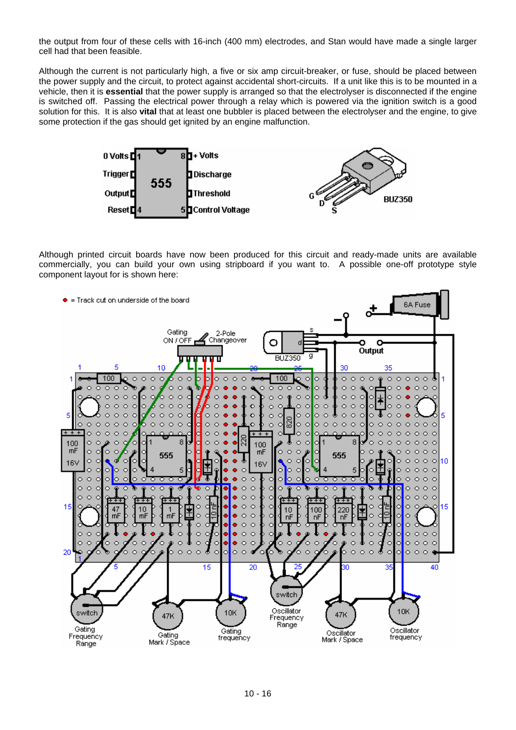the output from four of these cells with 16-inch (400 mm) electrodes, and Stan would have made a single larger cell had that been feasible.

Although the current is not particularly high, a five or six amp circuit-breaker, or fuse, should be placed between the power supply and the circuit, to protect against accidental short-circuits. If a unit like this is to be mounted in a vehicle, then it is **essential** that the power supply is arranged so that the electrolyser is disconnected if the engine is switched off. Passing the electrical power through a relay which is powered via the ignition switch is a good solution for this. It is also **vital** that at least one bubbler is placed between the electrolyser and the engine, to give some protection if the gas should get ignited by an engine malfunction.



Although printed circuit boards have now been produced for this circuit and ready-made units are available commercially, you can build your own using stripboard if you want to. A possible one-off prototype style component layout for is shown here:

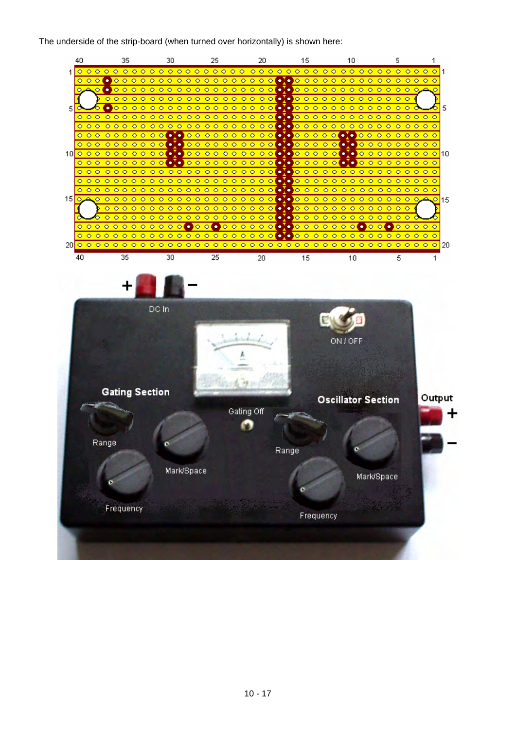## The underside of the strip-board (when turned over horizontally) is shown here:

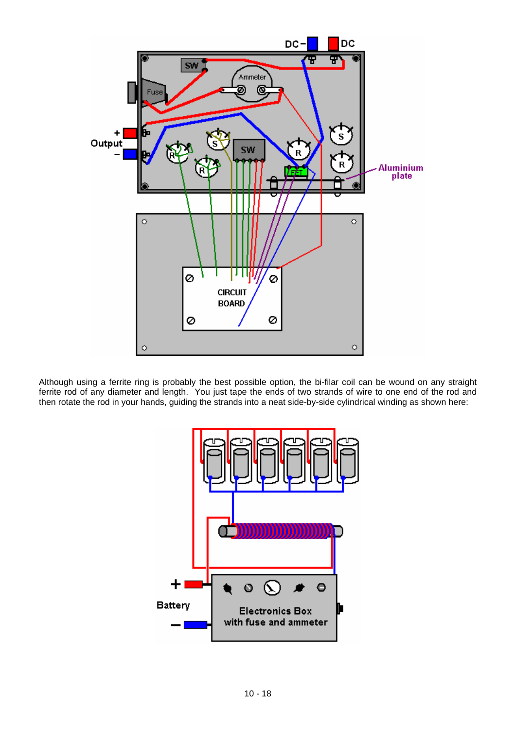

Although using a ferrite ring is probably the best possible option, the bi-filar coil can be wound on any straight ferrite rod of any diameter and length. You just tape the ends of two strands of wire to one end of the rod and then rotate the rod in your hands, guiding the strands into a neat side-by-side cylindrical winding as shown here:

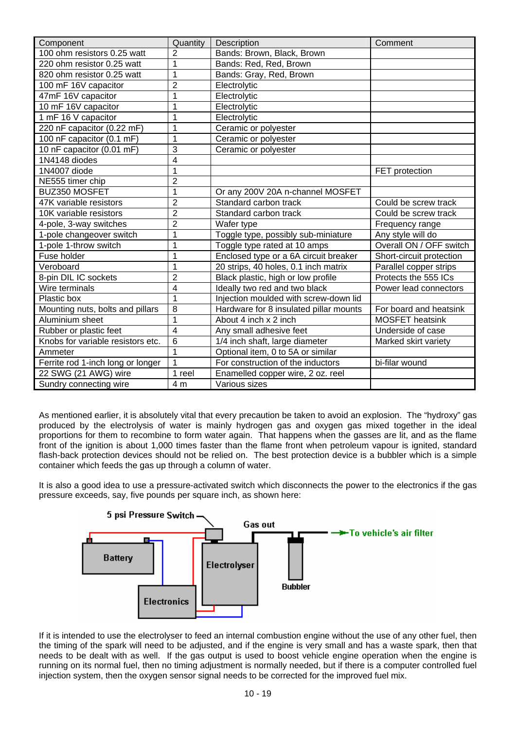| Component                         | Quantity                | Description                            | Comment                  |
|-----------------------------------|-------------------------|----------------------------------------|--------------------------|
| 100 ohm resistors 0.25 watt       | $\overline{2}$          | Bands: Brown, Black, Brown             |                          |
| 220 ohm resistor 0.25 watt        | 1                       | Bands: Red, Red, Brown                 |                          |
| 820 ohm resistor 0.25 watt        | 1                       | Bands: Gray, Red, Brown                |                          |
| 100 mF 16V capacitor              | $\overline{2}$          | Electrolytic                           |                          |
| 47mF 16V capacitor                | 1                       | Electrolytic                           |                          |
| 10 mF 16V capacitor               | 1                       | Electrolytic                           |                          |
| 1 mF 16 V capacitor               | 1                       | Electrolytic                           |                          |
| 220 nF capacitor (0.22 mF)        | 1                       | Ceramic or polyester                   |                          |
| 100 nF capacitor (0.1 mF)         | 1                       | Ceramic or polyester                   |                          |
| 10 nF capacitor (0.01 mF)         | 3                       | Ceramic or polyester                   |                          |
| 1N4148 diodes                     | $\overline{4}$          |                                        |                          |
| 1N4007 diode                      | 1                       |                                        | FET protection           |
| NE555 timer chip                  | $\overline{2}$          |                                        |                          |
| BUZ350 MOSFET                     | 1                       | Or any 200V 20A n-channel MOSFET       |                          |
| 47K variable resistors            | $\overline{2}$          | Standard carbon track                  | Could be screw track     |
| 10K variable resistors            | $\overline{2}$          | Standard carbon track                  | Could be screw track     |
| 4-pole, 3-way switches            | $\overline{2}$          | Wafer type                             | Frequency range          |
| 1-pole changeover switch          | $\overline{1}$          | Toggle type, possibly sub-miniature    | Any style will do        |
| 1-pole 1-throw switch             | 1                       | Toggle type rated at 10 amps           | Overall ON / OFF switch  |
| Fuse holder                       | 1                       | Enclosed type or a 6A circuit breaker  | Short-circuit protection |
| Veroboard                         | 1                       | 20 strips, 40 holes, 0.1 inch matrix   | Parallel copper strips   |
| 8-pin DIL IC sockets              | $\overline{2}$          | Black plastic, high or low profile     | Protects the 555 ICs     |
| Wire terminals                    | $\overline{\mathbf{4}}$ | Ideally two red and two black          | Power lead connectors    |
| Plastic box                       | $\overline{1}$          | Injection moulded with screw-down lid  |                          |
| Mounting nuts, bolts and pillars  | 8                       | Hardware for 8 insulated pillar mounts | For board and heatsink   |
| Aluminium sheet                   | 1                       | About 4 inch x 2 inch                  | <b>MOSFET</b> heatsink   |
| Rubber or plastic feet            | $\overline{4}$          | Any small adhesive feet                | Underside of case        |
| Knobs for variable resistors etc. | $\overline{6}$          | 1/4 inch shaft, large diameter         | Marked skirt variety     |
| Ammeter                           | $\overline{1}$          | Optional item, 0 to 5A or similar      |                          |
| Ferrite rod 1-inch long or longer | 1                       | For construction of the inductors      | bi-filar wound           |
| 22 SWG (21 AWG) wire              | 1 reel                  | Enamelled copper wire, 2 oz. reel      |                          |
| Sundry connecting wire            | 4 m                     | Various sizes                          |                          |

As mentioned earlier, it is absolutely vital that every precaution be taken to avoid an explosion. The "hydroxy" gas produced by the electrolysis of water is mainly hydrogen gas and oxygen gas mixed together in the ideal proportions for them to recombine to form water again. That happens when the gasses are lit, and as the flame front of the ignition is about 1,000 times faster than the flame front when petroleum vapour is ignited, standard flash-back protection devices should not be relied on. The best protection device is a bubbler which is a simple container which feeds the gas up through a column of water.

It is also a good idea to use a pressure-activated switch which disconnects the power to the electronics if the gas pressure exceeds, say, five pounds per square inch, as shown here:



If it is intended to use the electrolyser to feed an internal combustion engine without the use of any other fuel, then the timing of the spark will need to be adjusted, and if the engine is very small and has a waste spark, then that needs to be dealt with as well. If the gas output is used to boost vehicle engine operation when the engine is running on its normal fuel, then no timing adjustment is normally needed, but if there is a computer controlled fuel injection system, then the oxygen sensor signal needs to be corrected for the improved fuel mix.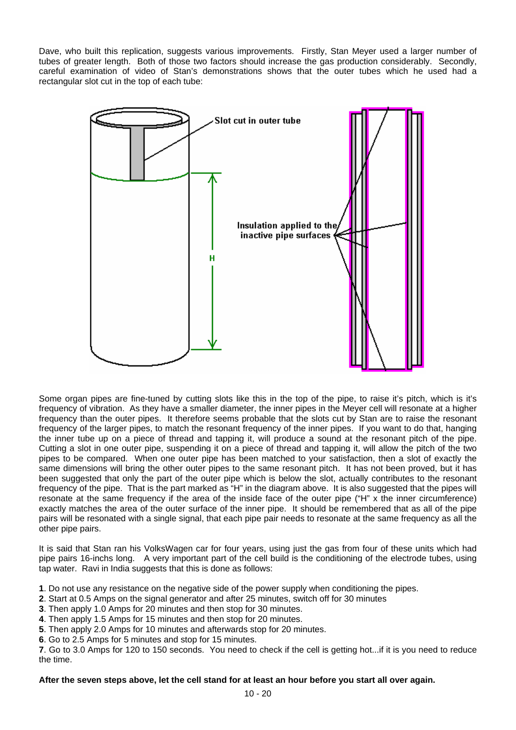Dave, who built this replication, suggests various improvements. Firstly, Stan Meyer used a larger number of tubes of greater length. Both of those two factors should increase the gas production considerably. Secondly, careful examination of video of Stan's demonstrations shows that the outer tubes which he used had a rectangular slot cut in the top of each tube:



Some organ pipes are fine-tuned by cutting slots like this in the top of the pipe, to raise it's pitch, which is it's frequency of vibration. As they have a smaller diameter, the inner pipes in the Meyer cell will resonate at a higher frequency than the outer pipes. It therefore seems probable that the slots cut by Stan are to raise the resonant frequency of the larger pipes, to match the resonant frequency of the inner pipes. If you want to do that, hanging the inner tube up on a piece of thread and tapping it, will produce a sound at the resonant pitch of the pipe. Cutting a slot in one outer pipe, suspending it on a piece of thread and tapping it, will allow the pitch of the two pipes to be compared. When one outer pipe has been matched to your satisfaction, then a slot of exactly the same dimensions will bring the other outer pipes to the same resonant pitch. It has not been proved, but it has been suggested that only the part of the outer pipe which is below the slot, actually contributes to the resonant frequency of the pipe. That is the part marked as "H" in the diagram above. It is also suggested that the pipes will resonate at the same frequency if the area of the inside face of the outer pipe ("H" x the inner circumference) exactly matches the area of the outer surface of the inner pipe. It should be remembered that as all of the pipe pairs will be resonated with a single signal, that each pipe pair needs to resonate at the same frequency as all the other pipe pairs.

It is said that Stan ran his VolksWagen car for four years, using just the gas from four of these units which had pipe pairs 16-inchs long. A very important part of the cell build is the conditioning of the electrode tubes, using tap water. Ravi in India suggests that this is done as follows:

- **1**. Do not use any resistance on the negative side of the power supply when conditioning the pipes.
- **2**. Start at 0.5 Amps on the signal generator and after 25 minutes, switch off for 30 minutes
- **3**. Then apply 1.0 Amps for 20 minutes and then stop for 30 minutes.
- **4**. Then apply 1.5 Amps for 15 minutes and then stop for 20 minutes.
- **5**. Then apply 2.0 Amps for 10 minutes and afterwards stop for 20 minutes.
- **6**. Go to 2.5 Amps for 5 minutes and stop for 15 minutes.

**7**. Go to 3.0 Amps for 120 to 150 seconds. You need to check if the cell is getting hot...if it is you need to reduce the time.

## **After the seven steps above, let the cell stand for at least an hour before you start all over again.**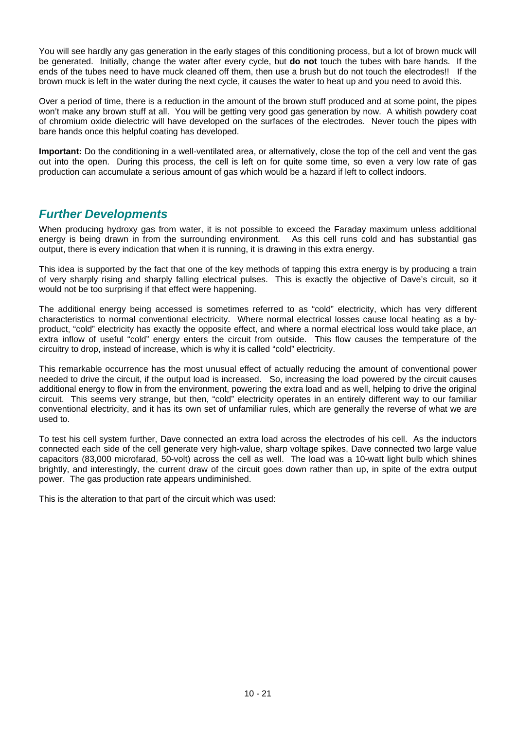You will see hardly any gas generation in the early stages of this conditioning process, but a lot of brown muck will be generated. Initially, change the water after every cycle, but **do not** touch the tubes with bare hands. If the ends of the tubes need to have muck cleaned off them, then use a brush but do not touch the electrodes!! If the brown muck is left in the water during the next cycle, it causes the water to heat up and you need to avoid this.

Over a period of time, there is a reduction in the amount of the brown stuff produced and at some point, the pipes won't make any brown stuff at all. You will be getting very good gas generation by now. A whitish powdery coat of chromium oxide dielectric will have developed on the surfaces of the electrodes. Never touch the pipes with bare hands once this helpful coating has developed.

**Important:** Do the conditioning in a well-ventilated area, or alternatively, close the top of the cell and vent the gas out into the open. During this process, the cell is left on for quite some time, so even a very low rate of gas production can accumulate a serious amount of gas which would be a hazard if left to collect indoors.

## *Further Developments*

When producing hydroxy gas from water, it is not possible to exceed the Faraday maximum unless additional energy is being drawn in from the surrounding environment. As this cell runs cold and has substantial gas output, there is every indication that when it is running, it is drawing in this extra energy.

This idea is supported by the fact that one of the key methods of tapping this extra energy is by producing a train of very sharply rising and sharply falling electrical pulses. This is exactly the objective of Dave's circuit, so it would not be too surprising if that effect were happening.

The additional energy being accessed is sometimes referred to as "cold" electricity, which has very different characteristics to normal conventional electricity. Where normal electrical losses cause local heating as a byproduct, "cold" electricity has exactly the opposite effect, and where a normal electrical loss would take place, an extra inflow of useful "cold" energy enters the circuit from outside. This flow causes the temperature of the circuitry to drop, instead of increase, which is why it is called "cold" electricity.

This remarkable occurrence has the most unusual effect of actually reducing the amount of conventional power needed to drive the circuit, if the output load is increased. So, increasing the load powered by the circuit causes additional energy to flow in from the environment, powering the extra load and as well, helping to drive the original circuit. This seems very strange, but then, "cold" electricity operates in an entirely different way to our familiar conventional electricity, and it has its own set of unfamiliar rules, which are generally the reverse of what we are used to.

To test his cell system further, Dave connected an extra load across the electrodes of his cell. As the inductors connected each side of the cell generate very high-value, sharp voltage spikes, Dave connected two large value capacitors (83,000 microfarad, 50-volt) across the cell as well. The load was a 10-watt light bulb which shines brightly, and interestingly, the current draw of the circuit goes down rather than up, in spite of the extra output power. The gas production rate appears undiminished.

This is the alteration to that part of the circuit which was used: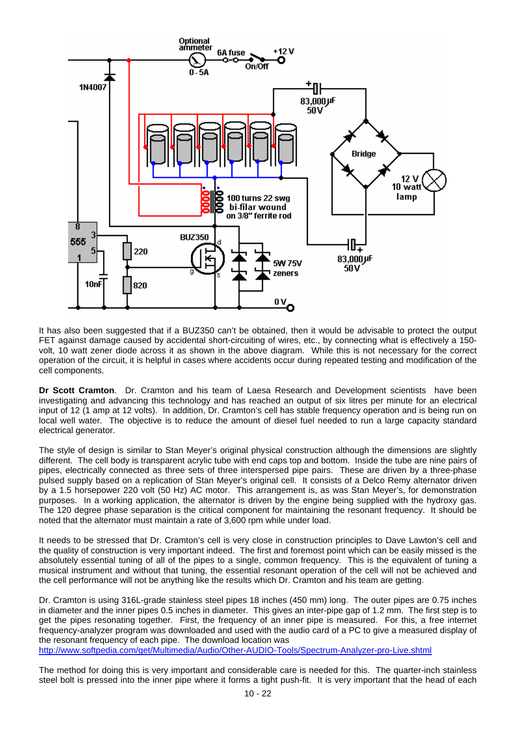

It has also been suggested that if a BUZ350 can't be obtained, then it would be advisable to protect the output FET against damage caused by accidental short-circuiting of wires, etc., by connecting what is effectively a 150 volt, 10 watt zener diode across it as shown in the above diagram. While this is not necessary for the correct operation of the circuit, it is helpful in cases where accidents occur during repeated testing and modification of the cell components.

**Dr Scott Cramton**. Dr. Cramton and his team of Laesa Research and Development scientists have been investigating and advancing this technology and has reached an output of six litres per minute for an electrical input of 12 (1 amp at 12 volts). In addition, Dr. Cramton's cell has stable frequency operation and is being run on local well water. The objective is to reduce the amount of diesel fuel needed to run a large capacity standard electrical generator.

The style of design is similar to Stan Meyer's original physical construction although the dimensions are slightly different. The cell body is transparent acrylic tube with end caps top and bottom. Inside the tube are nine pairs of pipes, electrically connected as three sets of three interspersed pipe pairs. These are driven by a three-phase pulsed supply based on a replication of Stan Meyer's original cell. It consists of a Delco Remy alternator driven by a 1.5 horsepower 220 volt (50 Hz) AC motor. This arrangement is, as was Stan Meyer's, for demonstration purposes. In a working application, the alternator is driven by the engine being supplied with the hydroxy gas. The 120 degree phase separation is the critical component for maintaining the resonant frequency. It should be noted that the alternator must maintain a rate of 3,600 rpm while under load.

It needs to be stressed that Dr. Cramton's cell is very close in construction principles to Dave Lawton's cell and the quality of construction is very important indeed. The first and foremost point which can be easily missed is the absolutely essential tuning of all of the pipes to a single, common frequency. This is the equivalent of tuning a musical instrument and without that tuning, the essential resonant operation of the cell will not be achieved and the cell performance will not be anything like the results which Dr. Cramton and his team are getting.

Dr. Cramton is using 316L-grade stainless steel pipes 18 inches (450 mm) long. The outer pipes are 0.75 inches in diameter and the inner pipes 0.5 inches in diameter. This gives an inter-pipe gap of 1.2 mm. The first step is to get the pipes resonating together. First, the frequency of an inner pipe is measured. For this, a free internet frequency-analyzer program was downloaded and used with the audio card of a PC to give a measured display of the resonant frequency of each pipe. The download location was http://www.softpedia.com/get/Multimedia/Audio/Other-AUDIO-Tools/Spectrum-Analyzer-pro-Live.shtml

The method for doing this is very important and considerable care is needed for this. The quarter-inch stainless steel bolt is pressed into the inner pipe where it forms a tight push-fit. It is very important that the head of each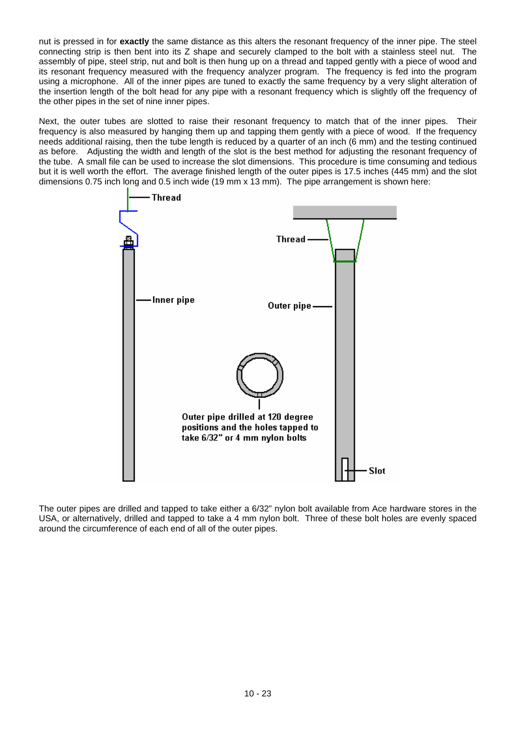nut is pressed in for **exactly** the same distance as this alters the resonant frequency of the inner pipe. The steel connecting strip is then bent into its Z shape and securely clamped to the bolt with a stainless steel nut. The assembly of pipe, steel strip, nut and bolt is then hung up on a thread and tapped gently with a piece of wood and its resonant frequency measured with the frequency analyzer program. The frequency is fed into the program using a microphone. All of the inner pipes are tuned to exactly the same frequency by a very slight alteration of the insertion length of the bolt head for any pipe with a resonant frequency which is slightly off the frequency of the other pipes in the set of nine inner pipes.

Next, the outer tubes are slotted to raise their resonant frequency to match that of the inner pipes. Their frequency is also measured by hanging them up and tapping them gently with a piece of wood. If the frequency needs additional raising, then the tube length is reduced by a quarter of an inch (6 mm) and the testing continued as before. Adjusting the width and length of the slot is the best method for adjusting the resonant frequency of the tube. A small file can be used to increase the slot dimensions. This procedure is time consuming and tedious but it is well worth the effort. The average finished length of the outer pipes is 17.5 inches (445 mm) and the slot dimensions 0.75 inch long and 0.5 inch wide (19 mm x 13 mm). The pipe arrangement is shown here:



The outer pipes are drilled and tapped to take either a 6/32" nylon bolt available from Ace hardware stores in the USA, or alternatively, drilled and tapped to take a 4 mm nylon bolt. Three of these bolt holes are evenly spaced around the circumference of each end of all of the outer pipes.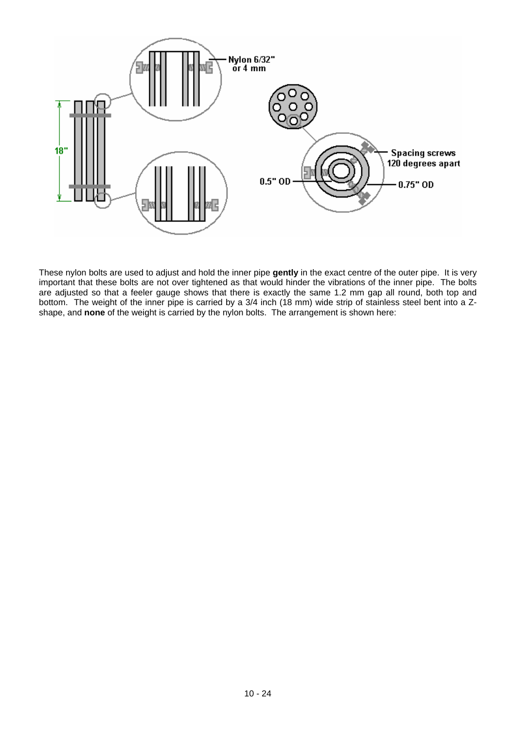

These nylon bolts are used to adjust and hold the inner pipe **gently** in the exact centre of the outer pipe. It is very important that these bolts are not over tightened as that would hinder the vibrations of the inner pipe. The bolts are adjusted so that a feeler gauge shows that there is exactly the same 1.2 mm gap all round, both top and bottom. The weight of the inner pipe is carried by a 3/4 inch (18 mm) wide strip of stainless steel bent into a Zshape, and **none** of the weight is carried by the nylon bolts. The arrangement is shown here: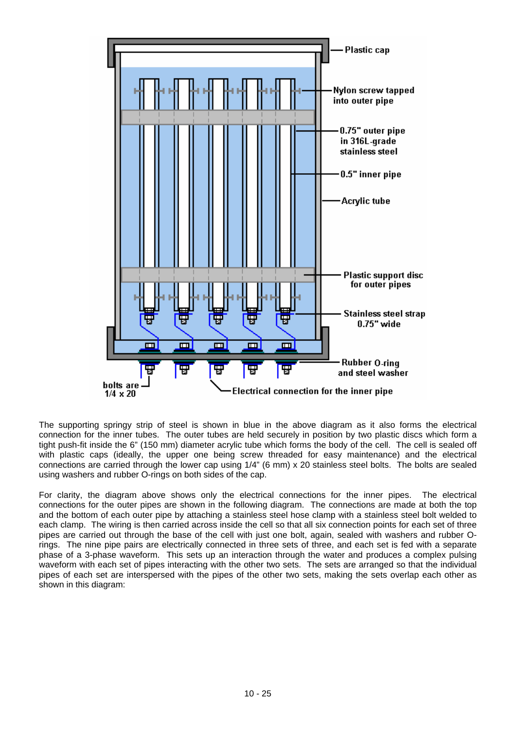

The supporting springy strip of steel is shown in blue in the above diagram as it also forms the electrical connection for the inner tubes. The outer tubes are held securely in position by two plastic discs which form a tight push-fit inside the 6" (150 mm) diameter acrylic tube which forms the body of the cell. The cell is sealed off with plastic caps (ideally, the upper one being screw threaded for easy maintenance) and the electrical connections are carried through the lower cap using 1/4" (6 mm) x 20 stainless steel bolts. The bolts are sealed using washers and rubber O-rings on both sides of the cap.

For clarity, the diagram above shows only the electrical connections for the inner pipes. The electrical connections for the outer pipes are shown in the following diagram. The connections are made at both the top and the bottom of each outer pipe by attaching a stainless steel hose clamp with a stainless steel bolt welded to each clamp. The wiring is then carried across inside the cell so that all six connection points for each set of three pipes are carried out through the base of the cell with just one bolt, again, sealed with washers and rubber Orings. The nine pipe pairs are electrically connected in three sets of three, and each set is fed with a separate phase of a 3-phase waveform. This sets up an interaction through the water and produces a complex pulsing waveform with each set of pipes interacting with the other two sets. The sets are arranged so that the individual pipes of each set are interspersed with the pipes of the other two sets, making the sets overlap each other as shown in this diagram: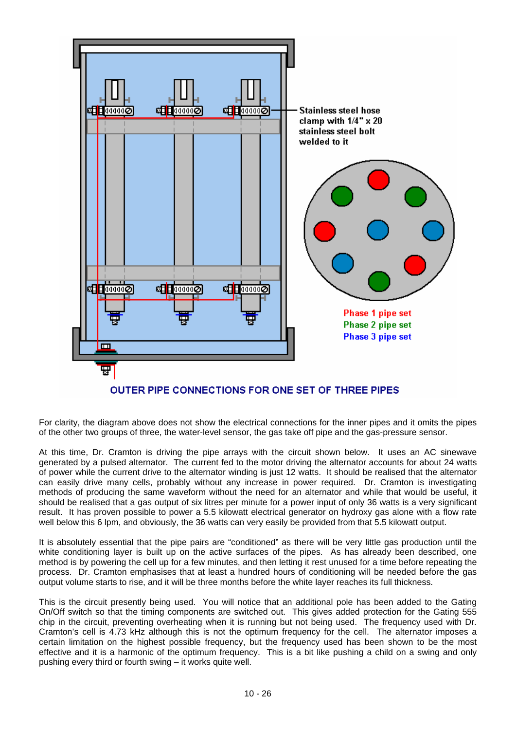

OUTER PIPE CONNECTIONS FOR ONE SET OF THREE PIPES.

For clarity, the diagram above does not show the electrical connections for the inner pipes and it omits the pipes of the other two groups of three, the water-level sensor, the gas take off pipe and the gas-pressure sensor.

At this time, Dr. Cramton is driving the pipe arrays with the circuit shown below. It uses an AC sinewave generated by a pulsed alternator. The current fed to the motor driving the alternator accounts for about 24 watts of power while the current drive to the alternator winding is just 12 watts. It should be realised that the alternator can easily drive many cells, probably without any increase in power required. Dr. Cramton is investigating methods of producing the same waveform without the need for an alternator and while that would be useful, it should be realised that a gas output of six litres per minute for a power input of only 36 watts is a very significant result. It has proven possible to power a 5.5 kilowatt electrical generator on hydroxy gas alone with a flow rate well below this 6 lpm, and obviously, the 36 watts can very easily be provided from that 5.5 kilowatt output.

It is absolutely essential that the pipe pairs are "conditioned" as there will be very little gas production until the white conditioning layer is built up on the active surfaces of the pipes. As has already been described, one method is by powering the cell up for a few minutes, and then letting it rest unused for a time before repeating the process. Dr. Cramton emphasises that at least a hundred hours of conditioning will be needed before the gas output volume starts to rise, and it will be three months before the white layer reaches its full thickness.

This is the circuit presently being used. You will notice that an additional pole has been added to the Gating On/Off switch so that the timing components are switched out. This gives added protection for the Gating 555 chip in the circuit, preventing overheating when it is running but not being used. The frequency used with Dr. Cramton's cell is 4.73 kHz although this is not the optimum frequency for the cell. The alternator imposes a certain limitation on the highest possible frequency, but the frequency used has been shown to be the most effective and it is a harmonic of the optimum frequency. This is a bit like pushing a child on a swing and only pushing every third or fourth swing – it works quite well.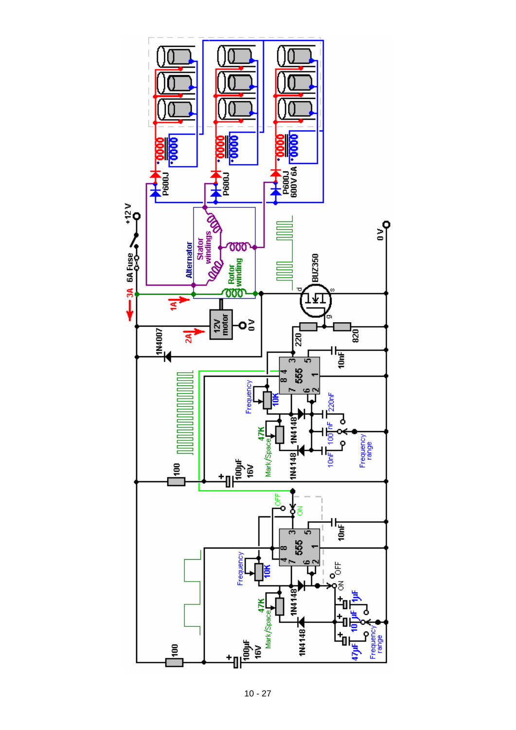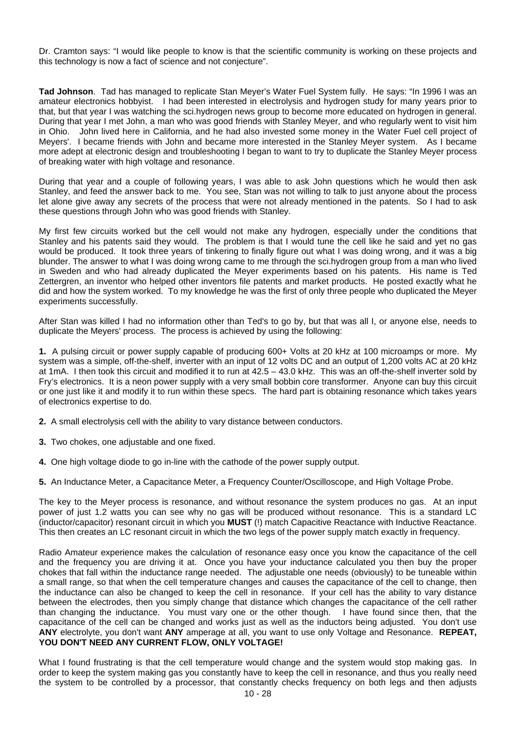Dr. Cramton says: "I would like people to know is that the scientific community is working on these projects and this technology is now a fact of science and not conjecture".

**Tad Johnson**. Tad has managed to replicate Stan Meyer's Water Fuel System fully. He says: "In 1996 I was an amateur electronics hobbyist. I had been interested in electrolysis and hydrogen study for many years prior to that, but that year I was watching the sci.hydrogen news group to become more educated on hydrogen in general. During that year I met John, a man who was good friends with Stanley Meyer, and who regularly went to visit him in Ohio. John lived here in California, and he had also invested some money in the Water Fuel cell project of Meyers'. I became friends with John and became more interested in the Stanley Meyer system. As I became more adept at electronic design and troubleshooting I began to want to try to duplicate the Stanley Meyer process of breaking water with high voltage and resonance.

During that year and a couple of following years, I was able to ask John questions which he would then ask Stanley, and feed the answer back to me. You see, Stan was not willing to talk to just anyone about the process let alone give away any secrets of the process that were not already mentioned in the patents. So I had to ask these questions through John who was good friends with Stanley.

My first few circuits worked but the cell would not make any hydrogen, especially under the conditions that Stanley and his patents said they would. The problem is that I would tune the cell like he said and yet no gas would be produced. It took three years of tinkering to finally figure out what I was doing wrong, and it was a big blunder. The answer to what I was doing wrong came to me through the sci.hydrogen group from a man who lived in Sweden and who had already duplicated the Meyer experiments based on his patents. His name is Ted Zettergren, an inventor who helped other inventors file patents and market products. He posted exactly what he did and how the system worked. To my knowledge he was the first of only three people who duplicated the Meyer experiments successfully.

After Stan was killed I had no information other than Ted's to go by, but that was all I, or anyone else, needs to duplicate the Meyers' process. The process is achieved by using the following:

**1.** A pulsing circuit or power supply capable of producing 600+ Volts at 20 kHz at 100 microamps or more. My system was a simple, off-the-shelf, inverter with an input of 12 volts DC and an output of 1,200 volts AC at 20 kHz at 1mA. I then took this circuit and modified it to run at 42.5 – 43.0 kHz. This was an off-the-shelf inverter sold by Fry's electronics. It is a neon power supply with a very small bobbin core transformer. Anyone can buy this circuit or one just like it and modify it to run within these specs. The hard part is obtaining resonance which takes years of electronics expertise to do.

- **2.** A small electrolysis cell with the ability to vary distance between conductors.
- **3.** Two chokes, one adjustable and one fixed.
- **4.** One high voltage diode to go in-line with the cathode of the power supply output.

**5.** An Inductance Meter, a Capacitance Meter, a Frequency Counter/Oscilloscope, and High Voltage Probe.

The key to the Meyer process is resonance, and without resonance the system produces no gas. At an input power of just 1.2 watts you can see why no gas will be produced without resonance. This is a standard LC (inductor/capacitor) resonant circuit in which you **MUST** (!) match Capacitive Reactance with Inductive Reactance. This then creates an LC resonant circuit in which the two legs of the power supply match exactly in frequency.

Radio Amateur experience makes the calculation of resonance easy once you know the capacitance of the cell and the frequency you are driving it at. Once you have your inductance calculated you then buy the proper chokes that fall within the inductance range needed. The adjustable one needs (obviously) to be tuneable within a small range, so that when the cell temperature changes and causes the capacitance of the cell to change, then the inductance can also be changed to keep the cell in resonance. If your cell has the ability to vary distance between the electrodes, then you simply change that distance which changes the capacitance of the cell rather than changing the inductance. You must vary one or the other though. I have found since then, that the capacitance of the cell can be changed and works just as well as the inductors being adjusted. You don't use **ANY** electrolyte, you don't want **ANY** amperage at all, you want to use only Voltage and Resonance. **REPEAT, YOU DON'T NEED ANY CURRENT FLOW, ONLY VOLTAGE!**

What I found frustrating is that the cell temperature would change and the system would stop making gas. In order to keep the system making gas you constantly have to keep the cell in resonance, and thus you really need the system to be controlled by a processor, that constantly checks frequency on both legs and then adjusts